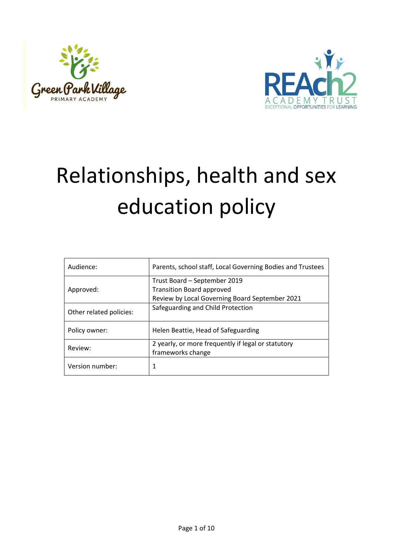



# Relationships, health and sex education policy

| Audience:               | Parents, school staff, Local Governing Bodies and Trustees                                                         |
|-------------------------|--------------------------------------------------------------------------------------------------------------------|
| Approved:               | Trust Board - September 2019<br><b>Transition Board approved</b><br>Review by Local Governing Board September 2021 |
| Other related policies: | Safeguarding and Child Protection                                                                                  |
| Policy owner:           | Helen Beattie, Head of Safeguarding                                                                                |
| Review:                 | 2 yearly, or more frequently if legal or statutory<br>frameworks change                                            |
| Version number:         | 1                                                                                                                  |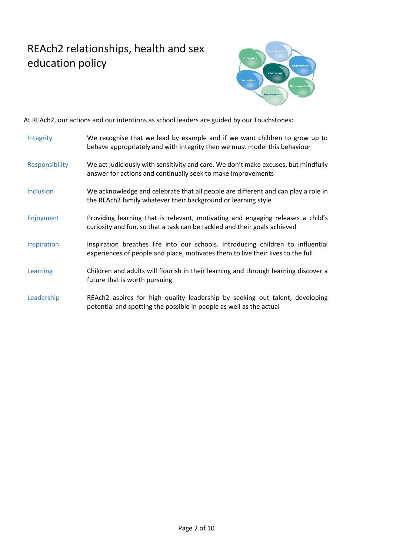## REAch2 relationships, health and sex education policy



At REAch2, our actions and our intentions as school leaders are guided by our Touchstones:

| Integrity        | We recognise that we lead by example and if we want children to grow up to<br>behave appropriately and with integrity then we must model this behaviour            |
|------------------|--------------------------------------------------------------------------------------------------------------------------------------------------------------------|
| Responsibility   | We act judiciously with sensitivity and care. We don't make excuses, but mindfully<br>answer for actions and continually seek to make improvements                 |
| <b>Inclusion</b> | We acknowledge and celebrate that all people are different and can play a role in<br>the REAch2 family whatever their background or learning style                 |
| Enjoyment        | Providing learning that is relevant, motivating and engaging releases a child's<br>curiosity and fun, so that a task can be tackled and their goals achieved       |
| Inspiration      | Inspiration breathes life into our schools. Introducing children to influential<br>experiences of people and place, motivates them to live their lives to the full |
| Learning         | Children and adults will flourish in their learning and through learning discover a<br>future that is worth pursuing                                               |
| Leadership       | REAch2 aspires for high quality leadership by seeking out talent, developing<br>potential and spotting the possible in people as well as the actual                |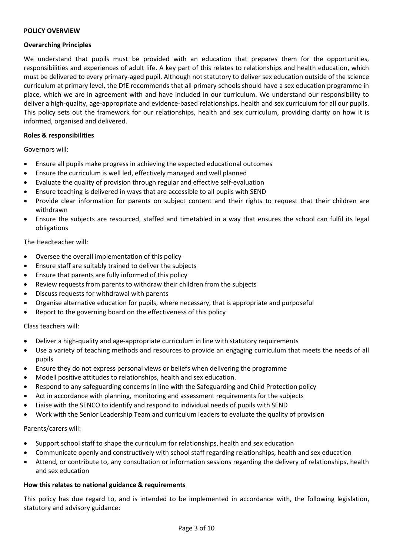#### **POLICY OVERVIEW**

#### **Overarching Principles**

We understand that pupils must be provided with an education that prepares them for the opportunities, responsibilities and experiences of adult life. A key part of this relates to relationships and health education, which must be delivered to every primary-aged pupil. Although not statutory to deliver sex education outside of the science curriculum at primary level, the DfE recommends that all primary schools should have a sex education programme in place, which we are in agreement with and have included in our curriculum. We understand our responsibility to deliver a high-quality, age-appropriate and evidence-based relationships, health and sex curriculum for all our pupils. This policy sets out the framework for our relationships, health and sex curriculum, providing clarity on how it is informed, organised and delivered.

#### **Roles & responsibilities**

Governors will:

- Ensure all pupils make progress in achieving the expected educational outcomes
- Ensure the curriculum is well led, effectively managed and well planned
- Evaluate the quality of provision through regular and effective self-evaluation
- Ensure teaching is delivered in ways that are accessible to all pupils with SEND
- Provide clear information for parents on subject content and their rights to request that their children are withdrawn
- Ensure the subjects are resourced, staffed and timetabled in a way that ensures the school can fulfil its legal obligations

#### The Headteacher will:

- Oversee the overall implementation of this policy
- Ensure staff are suitably trained to deliver the subjects
- Ensure that parents are fully informed of this policy
- Review requests from parents to withdraw their children from the subjects
- Discuss requests for withdrawal with parents
- Organise alternative education for pupils, where necessary, that is appropriate and purposeful
- Report to the governing board on the effectiveness of this policy

Class teachers will:

- Deliver a high-quality and age-appropriate curriculum in line with statutory requirements
- Use a variety of teaching methods and resources to provide an engaging curriculum that meets the needs of all pupils
- Ensure they do not express personal views or beliefs when delivering the programme
- Modell positive attitudes to relationships, health and sex education.
- Respond to any safeguarding concerns in line with the Safeguarding and Child Protection policy
- Act in accordance with planning, monitoring and assessment requirements for the subjects
- Liaise with the SENCO to identify and respond to individual needs of pupils with SEND
- Work with the Senior Leadership Team and curriculum leaders to evaluate the quality of provision

#### Parents/carers will:

- Support school staff to shape the curriculum for relationships, health and sex education
- Communicate openly and constructively with school staff regarding relationships, health and sex education
- Attend, or contribute to, any consultation or information sessions regarding the delivery of relationships, health and sex education

#### **How this relates to national guidance & requirements**

This policy has due regard to, and is intended to be implemented in accordance with, the following legislation, statutory and advisory guidance: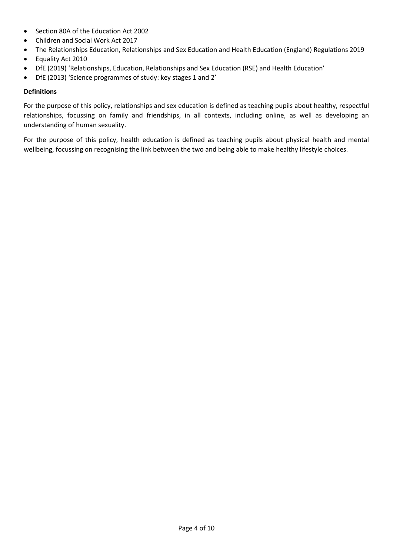- Section 80A of the Education Act 2002
- Children and Social Work Act 2017
- The Relationships Education, Relationships and Sex Education and Health Education (England) Regulations 2019
- Equality Act 2010
- DfE (2019) 'Relationships, Education, Relationships and Sex Education (RSE) and Health Education'
- DfE (2013) 'Science programmes of study: key stages 1 and 2'

#### **Definitions**

For the purpose of this policy, relationships and sex education is defined as teaching pupils about healthy, respectful relationships, focussing on family and friendships, in all contexts, including online, as well as developing an understanding of human sexuality.

For the purpose of this policy, health education is defined as teaching pupils about physical health and mental wellbeing, focussing on recognising the link between the two and being able to make healthy lifestyle choices.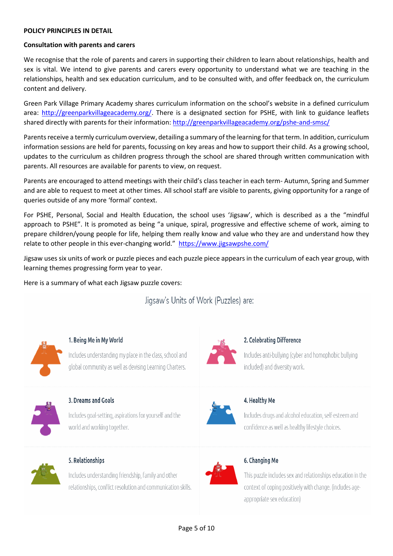#### **POLICY PRINCIPLES IN DETAIL**

#### **Consultation with parents and carers**

We recognise that the role of parents and carers in supporting their children to learn about relationships, health and sex is vital. We intend to give parents and carers every opportunity to understand what we are teaching in the relationships, health and sex education curriculum, and to be consulted with, and offer feedback on, the curriculum content and delivery.

Green Park Village Primary Academy shares curriculum information on the school's website in a defined curriculum area: [http://greenparkvillageacademy.org/.](http://greenparkvillageacademy.org/) There is a designated section for PSHE, with link to guidance leaflets shared directly with parents for their information[: http://greenparkvillageacademy.org/pshe-and-smsc/](http://greenparkvillageacademy.org/pshe-and-smsc/)

Parents receive a termly curriculum overview, detailing a summary of the learning for that term. In addition, curriculum information sessions are held for parents, focussing on key areas and how to support their child. As a growing school, updates to the curriculum as children progress through the school are shared through written communication with parents. All resources are available for parents to view, on request.

Parents are encouraged to attend meetings with their child's class teacher in each term- Autumn, Spring and Summer and are able to request to meet at other times. All school staff are visible to parents, giving opportunity for a range of queries outside of any more 'formal' context.

For PSHE, Personal, Social and Health Education, the school uses 'Jigsaw', which is described as a the "mindful approach to PSHE". It is promoted as being "a unique, spiral, progressive and effective scheme of work, aiming to prepare children/young people for life, helping them really know and value who they are and understand how they relate to other people in this ever-changing world." <https://www.jigsawpshe.com/>

Jigsaw uses six units of work or puzzle pieces and each puzzle piece appears in the curriculum of each year group, with learning themes progressing form year to year.

Here is a summary of what each Jigsaw puzzle covers:

### Jigsaw's Units of Work (Puzzles) are:



#### 1. Being Me in My World

Includes understanding my place in the class, school and global community as well as devising Learning Charters.



#### 3. Dreams and Goals

Includes goal-setting, aspirations for yourself and the world and working together.



#### 5. Relationships

Includes understanding friendship, family and other relationships, conflict resolution and communication skills.



#### 2. Celebrating Difference

Includes anti-bullying (cyber and homophobic bullying included) and diversity work.



#### 4. Healthy Me

Includes drugs and alcohol education, self-esteem and confidence as well as healthy lifestyle choices.



#### 6. Changing Me

This puzzle includes sex and relationships education in the context of coping positively with change. (includes ageappropriate sex education)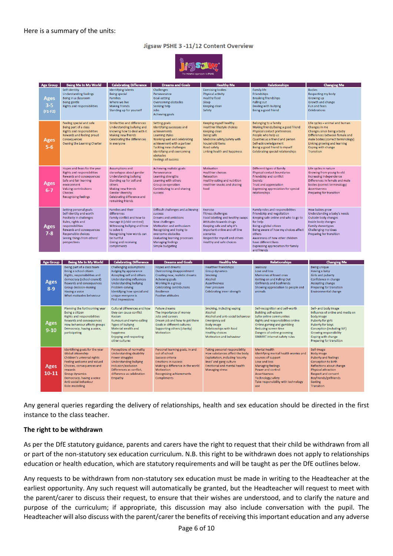#### Jigsaw PSHE 3 -11/12 Content Overview



| <b>Age Group</b>             | Being Me In My World                                                                                                                                                                                                                                       | <b>Celebrating Difference</b>                                                                                                                                                                                                           | <b>Dreams and Goals</b>                                                                                                                                                                                                                                  | <b>Healthy Me</b>                                                                                                                                                                                                                            | <b>Relationships</b>                                                                                                                                                                                                                                                                                                   | <b>Changing Me</b>                                                                                                                                                                                                        |
|------------------------------|------------------------------------------------------------------------------------------------------------------------------------------------------------------------------------------------------------------------------------------------------------|-----------------------------------------------------------------------------------------------------------------------------------------------------------------------------------------------------------------------------------------|----------------------------------------------------------------------------------------------------------------------------------------------------------------------------------------------------------------------------------------------------------|----------------------------------------------------------------------------------------------------------------------------------------------------------------------------------------------------------------------------------------------|------------------------------------------------------------------------------------------------------------------------------------------------------------------------------------------------------------------------------------------------------------------------------------------------------------------------|---------------------------------------------------------------------------------------------------------------------------------------------------------------------------------------------------------------------------|
| Ages<br>$3 - 5$<br>$(F1-F2)$ | Self-identity<br><b>Understanding feelings</b><br>Being in a classroom<br>Being gentle<br>Rights and responsibilities                                                                                                                                      | <b>Identifying talents</b><br><b>Being special</b><br><b>Families</b><br>Where we live<br><b>Making friends</b><br>Standing up for yourself                                                                                             | Challenges<br>Perseverance<br>Goal-setting<br>Overcoming obstacles<br>Seeking help<br>Jobs<br>Achieving goals                                                                                                                                            | <b>Exercising bodies</b><br>Physical activity<br><b>Healthy food</b><br>Sleen<br><b>Keeping clean</b><br>Safety                                                                                                                              | <b>Family life</b><br>Friendships<br><b>Breaking friendships</b><br><b>Falling out</b><br>Dealing with bullying<br>Being a good friend                                                                                                                                                                                 | <b>Bodies</b><br>Respecting my body<br>Growing up<br>Growth and change<br>Fun and fears<br>Celebrations                                                                                                                   |
| Ages<br>$5-6$                | Feeling special and safe<br>Being part of a class<br>Rights and responsibilities<br>Rewards and feeling proud<br>Consequences<br>Owning the Learning Charter                                                                                               | Similarities and differences<br>Understanding bullying and<br>knowing how to deal with it<br><b>Making new friends</b><br>Celebrating the differences<br>in everyone                                                                    | Setting goals<br>Identifying successes and<br>achievements<br>Learning styles<br>Working well and celebrating<br>achievement with a partner<br><b>Tackling new challenges</b><br>Identifying and overcoming<br>obstacles<br><b>Feelings of success</b>   | Keeping myself healthy<br>Healthier lifestyle choices<br>Keeping clean<br><b>Being safe</b><br>Medicine safety/safety with<br>household items<br>Road safety<br>Linking health and happiness                                                 | Belonging to a family<br>Making friends/being a good friend<br>Physical contact preferences<br>People who help us<br>Qualities as a friend and person<br>Self-acknowledgement<br>Being a good friend to myself<br>Celebrating special relationships                                                                    | Life cycles - animal and human<br>Changes in me<br>Changes since being a baby<br>Differences between female and<br>male bodies (correct terminology)<br>Linking growing and learning<br>Coping with change<br>Transition  |
| Ages<br>$6-7$                | Hopes and fears for the year<br>Rights and responsibilities<br>Rewards and consequences<br>Safe and fair learning<br>environment<br>Valuing contributions<br>Choices<br><b>Recognising feelings</b>                                                        | Assumptions and<br>stereotypes about gender<br><b>Understanding bullying</b><br>Standing up for self and<br>others<br><b>Making new friends</b><br>Gender diversity<br>Celebrating difference and<br>remaining friends                  | Achieving realistic goals<br>Perseverance<br>Learning strengths<br>Learning with others<br>Group co-operation<br>Contributing to and sharing<br>success                                                                                                  | Motivation<br><b>Healthier choices</b><br>Relaxation<br>Healthy eating and nutrition<br>Healthier snacks and sharing<br>food                                                                                                                 | Different types of family<br>Physical contact boundaries<br>Friendship and conflict<br>Secrets<br><b>Trust and appreciation</b><br>Expressing appreciation for special<br>relationships                                                                                                                                | Life cycles in nature<br>Growing from young to old<br>Increasing independence<br>Differences in female and male<br>bodies (correct terminology)<br><b>Assertiveness</b><br>Preparing for transition                       |
| Ages<br>$7 - 8$              | Setting personal goals<br>Self-identity and worth<br>Positivity in challenges<br>Rules, rights and<br>responsibilities<br>Rewards and consequences<br>Responsible choices<br>Seeing things from others'<br>perspectives                                    | Families and their<br>differences<br>Family conflict and how to<br>manage it (child-centred)<br>Witnessing bullying and how<br>to solve it<br>Recognising how words can<br>be hurtful<br>Giving and receiving<br>compliments            | Difficult challenges and achieving<br>success<br>Dreams and ambitions<br>New challenges<br>Motivation and enthusiasm<br>Recognising and trying to<br>overcome obstacles<br><b>Evaluating learning processes</b><br>Managing feelings<br>Simple budgeting | Exercise<br><b>Fitness challenges</b><br>Food labelling and healthy swaps<br>Attitudes towards drugs<br>Keeping safe and why it's<br>important online and off line<br>scenarios<br>Respect for myself and others<br>Healthy and safe choices | Family roles and responsibilities<br>Friendship and negotiation<br>Keeping safe online and who to go to<br>for help<br>Being a global citizen<br>Being aware of how my choices affect<br>others<br>Awareness of how other children<br>have different lives<br><b>Expressing appreciation for family</b><br>and friends | How babies grow<br>Understanding a baby's needs<br>Outside body changes<br>Inside body changes<br>Family stereotypes<br>Challenging my ideas<br>Preparing for transition                                                  |
|                              |                                                                                                                                                                                                                                                            |                                                                                                                                                                                                                                         |                                                                                                                                                                                                                                                          |                                                                                                                                                                                                                                              |                                                                                                                                                                                                                                                                                                                        |                                                                                                                                                                                                                           |
| <b>Age Group</b>             | <b>Being Me In My World</b>                                                                                                                                                                                                                                | <b>Celebrating Difference</b>                                                                                                                                                                                                           | <b>Dreams and Goals</b>                                                                                                                                                                                                                                  | <b>Healthy Me</b>                                                                                                                                                                                                                            | <b>Relationships</b>                                                                                                                                                                                                                                                                                                   | <b>Changing Me</b>                                                                                                                                                                                                        |
| Ages<br>$8-9$                | Being part of a class team<br>Being a school citizen<br>Rights, responsibilities and<br>democracy (school council)<br>Rewards and consequences<br>Group decision-making<br>Having a voice<br>What motivates behaviour                                      | Challenging assumptions<br>Judging by appearance<br>Accepting self and others<br>Understanding influences<br>Understanding bullying<br>Problem-solving<br>Identifying how special and<br>unique everyone is<br><b>First impressions</b> | Hopes and dreams<br>Overcoming disappointment<br>Creating new, realistic dreams<br><b>Achieving goals</b><br>Working in a group<br>Celebrating contributions<br>Resilience<br>Positive attitudes                                                         | <b>Healthier friendships</b><br><b>Group dynamics</b><br>Smoking<br>Alcohol<br><b>Assertiveness</b><br>Peer pressure<br>Celebrating inner strength                                                                                           | Jealousy<br>Love and loss<br>Memories of loved ones<br>Getting on and Falling Out<br>Girlfriends and boyfriends<br>Showing appreciation to people and<br>animals                                                                                                                                                       | <b>Being unique</b><br>Having a baby<br>Girls and puberty<br>Confidence in change<br>Accepting change<br>Preparing for transition<br>Environmental change                                                                 |
| Ages<br>$9 - 10$             | Planning the forthcoming year<br>Being a citizen<br>Rights and responsibilities<br>Rewards and consequences<br>How behaviour affects groups<br>Democracy, having a voice,<br>participating                                                                 | Cultural differences and how<br>they can cause conflict<br>Racism<br>Rumours and name-calling<br>Types of bullying<br>Material wealth and<br>happiness<br>Enjoying and respecting<br>other cultures                                     | <b>Future dreams</b><br>The importance of money<br>Jobs and careers<br>Dream job and how to get there<br>Goals in different cultures<br>Supporting others (charity)<br>Motivation                                                                        | Smoking, including vaping<br>Alcohol<br>Alcohol and anti-social behaviour<br><b>Emergency aid</b><br><b>Body image</b><br>Relationships with food<br><b>Healthy choices</b><br>Motivation and behaviour                                      | Self-recognition and self-worth<br><b>Building self-esteem</b><br>Safer online communities<br>Rights and responsibilities online<br>Online gaming and gambling<br>Reducing screen time<br>Dangers of online grooming<br>SMARRT internet safety rules                                                                   | Self- and body image<br>Influence of online and media on<br>body image<br>Puberty for girls<br>Puberty for boys<br>Conception (including IVF)<br>Growing responsibility<br>Coping with change<br>Preparing for transition |
| <b>Ages</b><br>10-11         | Identifying goals for the year<br>Global citizenship<br>Children's universal rights<br>Feeling welcome and valued<br>Choices, consequences and<br>rewards<br><b>Group dynamics</b><br>Democracy, having a voice<br>Anti-social behaviour<br>Role-modelling | Perceptions of normality<br>Understanding disability<br>Power struggles<br><b>Understanding bullying</b><br>Inclusion/exclusion<br>Differences as conflict.<br>difference as celebration<br>Empathy                                     | Personal learning goals, in and<br>out of school<br>Success criteria<br><b>Emotions in success</b><br>Making a difference in the world<br><b>Motivation</b><br>Recognising achievements<br>Compliments                                                   | Taking personal responsibility<br>How substances affect the body<br>Exploitation, including 'county<br>lines' and gang culture<br>Emotional and mental health<br><b>Managing stress</b>                                                      | Mental health<br>Identifying mental health worries and<br>sources of support<br>Love and loss<br>Managing feelings<br>Power and control<br><b>Assertiveness</b><br><b>Technology safety</b><br>Take responsibility with technology<br>use                                                                              | Self-image<br><b>Body image</b><br>Puberty and feelings<br>Conception to birth<br>Reflections about change<br>Physical attraction<br>Respect and consent<br>Boyfriends/girlfriends<br><b>Sexting</b><br>Transition        |

Any general queries regarding the delivery of relationships, health and sex education should be directed in the first instance to the class teacher.

#### **The right to be withdrawn**

As per the DfE statutory guidance, parents and carers have the right to request that their child be withdrawn from all or part of the non-statutory sex education curriculum. N.B. this right to be withdrawn does not apply to relationships education or health education, which are statutory requirements and will be taught as per the DfE outlines below.

Any requests to be withdrawn from non-statutory sex education must be made in writing to the Headteacher at the earliest opportunity. Any such request will automatically be granted, but the Headteacher will request to meet with the parent/carer to discuss their request, to ensure that their wishes are understood, and to clarify the nature and purpose of the curriculum; if appropriate, this discussion may also include conversation with the pupil. The Headteacher will also discuss with the parent/carer the benefits of receiving this important education and any adverse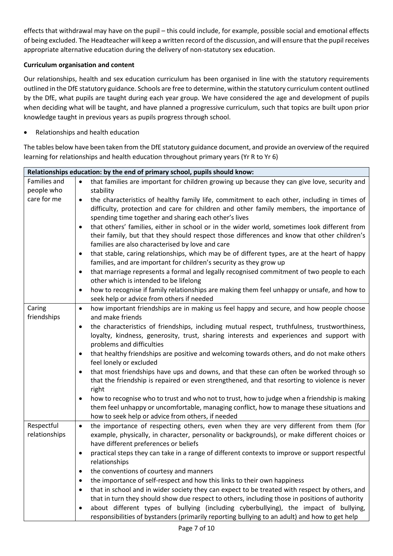effects that withdrawal may have on the pupil – this could include, for example, possible social and emotional effects of being excluded. The Headteacher will keep a written record of the discussion, and will ensure that the pupil receives appropriate alternative education during the delivery of non-statutory sex education.

#### **Curriculum organisation and content**

Our relationships, health and sex education curriculum has been organised in line with the statutory requirements outlined in the DfE statutory guidance. Schools are free to determine, within the statutory curriculum content outlined by the DfE, what pupils are taught during each year group. We have considered the age and development of pupils when deciding what will be taught, and have planned a progressive curriculum, such that topics are built upon prior knowledge taught in previous years as pupils progress through school.

• Relationships and health education

The tables below have been taken from the DfE statutory guidance document, and provide an overview of the required learning for relationships and health education throughout primary years (Yr R to Yr 6)

|                             | Relationships education: by the end of primary school, pupils should know:                                                                                                                                                                                    |
|-----------------------------|---------------------------------------------------------------------------------------------------------------------------------------------------------------------------------------------------------------------------------------------------------------|
| Families and                | that families are important for children growing up because they can give love, security and<br>$\bullet$                                                                                                                                                     |
| people who                  | stability                                                                                                                                                                                                                                                     |
| care for me                 | the characteristics of healthy family life, commitment to each other, including in times of<br>$\bullet$<br>difficulty, protection and care for children and other family members, the importance of<br>spending time together and sharing each other's lives |
|                             | that others' families, either in school or in the wider world, sometimes look different from<br>$\bullet$<br>their family, but that they should respect those differences and know that other children's<br>families are also characterised by love and care  |
|                             | that stable, caring relationships, which may be of different types, are at the heart of happy<br>$\bullet$<br>families, and are important for children's security as they grow up                                                                             |
|                             | that marriage represents a formal and legally recognised commitment of two people to each<br>٠<br>other which is intended to be lifelong                                                                                                                      |
|                             | how to recognise if family relationships are making them feel unhappy or unsafe, and how to<br>$\bullet$<br>seek help or advice from others if needed                                                                                                         |
| Caring<br>friendships       | how important friendships are in making us feel happy and secure, and how people choose<br>$\bullet$<br>and make friends                                                                                                                                      |
|                             | the characteristics of friendships, including mutual respect, truthfulness, trustworthiness,<br>$\bullet$<br>loyalty, kindness, generosity, trust, sharing interests and experiences and support with<br>problems and difficulties                            |
|                             | that healthy friendships are positive and welcoming towards others, and do not make others<br>$\bullet$<br>feel lonely or excluded                                                                                                                            |
|                             | that most friendships have ups and downs, and that these can often be worked through so<br>$\bullet$<br>that the friendship is repaired or even strengthened, and that resorting to violence is never<br>right                                                |
|                             | how to recognise who to trust and who not to trust, how to judge when a friendship is making<br>٠<br>them feel unhappy or uncomfortable, managing conflict, how to manage these situations and<br>how to seek help or advice from others, if needed           |
| Respectful<br>relationships | the importance of respecting others, even when they are very different from them (for<br>$\bullet$<br>example, physically, in character, personality or backgrounds), or make different choices or<br>have different preferences or beliefs                   |
|                             | practical steps they can take in a range of different contexts to improve or support respectful<br>$\bullet$<br>relationships                                                                                                                                 |
|                             | the conventions of courtesy and manners<br>$\bullet$                                                                                                                                                                                                          |
|                             | the importance of self-respect and how this links to their own happiness<br>$\bullet$                                                                                                                                                                         |
|                             | that in school and in wider society they can expect to be treated with respect by others, and<br>٠<br>that in turn they should show due respect to others, including those in positions of authority                                                          |
|                             | about different types of bullying (including cyberbullying), the impact of bullying,<br>$\bullet$<br>responsibilities of bystanders (primarily reporting bullying to an adult) and how to get help                                                            |
|                             |                                                                                                                                                                                                                                                               |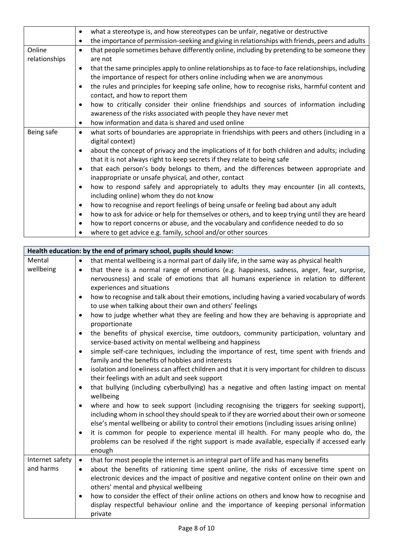|               | what a stereotype is, and how stereotypes can be unfair, negative or destructive<br>٠                           |
|---------------|-----------------------------------------------------------------------------------------------------------------|
|               | the importance of permission-seeking and giving in relationships with friends, peers and adults<br>٠            |
| Online        | that people sometimes behave differently online, including by pretending to be someone they<br>$\bullet$        |
| relationships | are not                                                                                                         |
|               | that the same principles apply to online relationships as to face-to face relationships, including<br>$\bullet$ |
|               | the importance of respect for others online including when we are anonymous                                     |
|               | the rules and principles for keeping safe online, how to recognise risks, harmful content and<br>$\bullet$      |
|               | contact, and how to report them                                                                                 |
|               | how to critically consider their online friendships and sources of information including<br>$\bullet$           |
|               | awareness of the risks associated with people they have never met                                               |
|               | how information and data is shared and used online<br>$\bullet$                                                 |
| Being safe    | what sorts of boundaries are appropriate in friendships with peers and others (including in a<br>$\bullet$      |
|               | digital context)                                                                                                |
|               | about the concept of privacy and the implications of it for both children and adults; including<br>$\bullet$    |
|               | that it is not always right to keep secrets if they relate to being safe                                        |
|               | that each person's body belongs to them, and the differences between appropriate and<br>$\bullet$               |
|               | inappropriate or unsafe physical, and other, contact                                                            |
|               | how to respond safely and appropriately to adults they may encounter (in all contexts,<br>$\bullet$             |
|               | including online) whom they do not know                                                                         |
|               | how to recognise and report feelings of being unsafe or feeling bad about any adult<br>$\bullet$                |
|               | how to ask for advice or help for themselves or others, and to keep trying until they are heard<br>$\bullet$    |
|               | how to report concerns or abuse, and the vocabulary and confidence needed to do so<br>$\bullet$                 |
|               | where to get advice e.g. family, school and/or other sources<br>$\bullet$                                       |
|               |                                                                                                                 |

r

|                              | Health education: by the end of primary school, pupils should know:                                                                                                                                                                                                                                                                                                                                                                                                                                                                                                                                                                                                                                                                                                                                                                                                                                                                                                                                                                                                                                                                                                                                                                                                                                                                                                                                                                                                                                                                                                             |
|------------------------------|---------------------------------------------------------------------------------------------------------------------------------------------------------------------------------------------------------------------------------------------------------------------------------------------------------------------------------------------------------------------------------------------------------------------------------------------------------------------------------------------------------------------------------------------------------------------------------------------------------------------------------------------------------------------------------------------------------------------------------------------------------------------------------------------------------------------------------------------------------------------------------------------------------------------------------------------------------------------------------------------------------------------------------------------------------------------------------------------------------------------------------------------------------------------------------------------------------------------------------------------------------------------------------------------------------------------------------------------------------------------------------------------------------------------------------------------------------------------------------------------------------------------------------------------------------------------------------|
| Mental                       | that mental wellbeing is a normal part of daily life, in the same way as physical health<br>$\bullet$                                                                                                                                                                                                                                                                                                                                                                                                                                                                                                                                                                                                                                                                                                                                                                                                                                                                                                                                                                                                                                                                                                                                                                                                                                                                                                                                                                                                                                                                           |
| wellbeing                    | that there is a normal range of emotions (e.g. happiness, sadness, anger, fear, surprise,<br>$\bullet$<br>nervousness) and scale of emotions that all humans experience in relation to different<br>experiences and situations<br>how to recognise and talk about their emotions, including having a varied vocabulary of words<br>$\bullet$<br>to use when talking about their own and others' feelings<br>how to judge whether what they are feeling and how they are behaving is appropriate and<br>$\bullet$<br>proportionate<br>the benefits of physical exercise, time outdoors, community participation, voluntary and<br>$\bullet$<br>service-based activity on mental wellbeing and happiness<br>simple self-care techniques, including the importance of rest, time spent with friends and<br>$\bullet$<br>family and the benefits of hobbies and interests<br>isolation and loneliness can affect children and that it is very important for children to discuss<br>$\bullet$<br>their feelings with an adult and seek support<br>that bullying (including cyberbullying) has a negative and often lasting impact on mental<br>$\bullet$<br>wellbeing<br>where and how to seek support (including recognising the triggers for seeking support),<br>$\bullet$<br>including whom in school they should speak to if they are worried about their own or someone<br>else's mental wellbeing or ability to control their emotions (including issues arising online)<br>it is common for people to experience mental ill health. For many people who do, the<br>$\bullet$ |
|                              | problems can be resolved if the right support is made available, especially if accessed early<br>enough                                                                                                                                                                                                                                                                                                                                                                                                                                                                                                                                                                                                                                                                                                                                                                                                                                                                                                                                                                                                                                                                                                                                                                                                                                                                                                                                                                                                                                                                         |
| Internet safety<br>and harms | that for most people the internet is an integral part of life and has many benefits<br>$\bullet$<br>about the benefits of rationing time spent online, the risks of excessive time spent on<br>$\bullet$<br>electronic devices and the impact of positive and negative content online on their own and<br>others' mental and physical wellbeing<br>how to consider the effect of their online actions on others and know how to recognise and<br>$\bullet$<br>display respectful behaviour online and the importance of keeping personal information<br>private                                                                                                                                                                                                                                                                                                                                                                                                                                                                                                                                                                                                                                                                                                                                                                                                                                                                                                                                                                                                                 |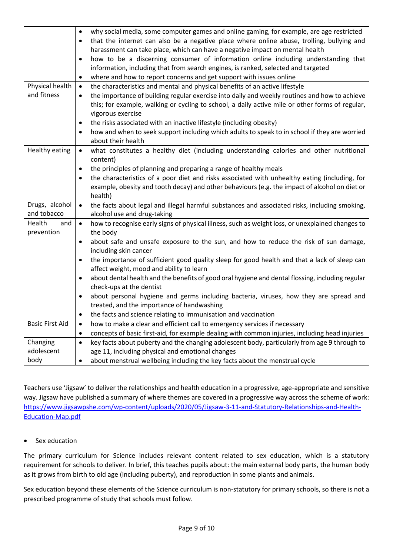|                                | why social media, some computer games and online gaming, for example, are age restricted<br>$\bullet$<br>that the internet can also be a negative place where online abuse, trolling, bullying and<br>٠<br>harassment can take place, which can have a negative impact on mental health<br>how to be a discerning consumer of information online including understanding that<br>$\bullet$<br>information, including that from search engines, is ranked, selected and targeted<br>where and how to report concerns and get support with issues online<br>$\bullet$ |
|--------------------------------|---------------------------------------------------------------------------------------------------------------------------------------------------------------------------------------------------------------------------------------------------------------------------------------------------------------------------------------------------------------------------------------------------------------------------------------------------------------------------------------------------------------------------------------------------------------------|
| Physical health<br>and fitness | the characteristics and mental and physical benefits of an active lifestyle<br>$\bullet$                                                                                                                                                                                                                                                                                                                                                                                                                                                                            |
|                                | the importance of building regular exercise into daily and weekly routines and how to achieve<br>$\bullet$                                                                                                                                                                                                                                                                                                                                                                                                                                                          |
|                                | this; for example, walking or cycling to school, a daily active mile or other forms of regular,<br>vigorous exercise                                                                                                                                                                                                                                                                                                                                                                                                                                                |
|                                | the risks associated with an inactive lifestyle (including obesity)<br>$\bullet$                                                                                                                                                                                                                                                                                                                                                                                                                                                                                    |
|                                | how and when to seek support including which adults to speak to in school if they are worried<br>$\bullet$                                                                                                                                                                                                                                                                                                                                                                                                                                                          |
|                                | about their health                                                                                                                                                                                                                                                                                                                                                                                                                                                                                                                                                  |
| Healthy eating                 | what constitutes a healthy diet (including understanding calories and other nutritional<br>$\bullet$<br>content)                                                                                                                                                                                                                                                                                                                                                                                                                                                    |
|                                | the principles of planning and preparing a range of healthy meals<br>$\bullet$                                                                                                                                                                                                                                                                                                                                                                                                                                                                                      |
|                                | the characteristics of a poor diet and risks associated with unhealthy eating (including, for<br>$\bullet$                                                                                                                                                                                                                                                                                                                                                                                                                                                          |
|                                | example, obesity and tooth decay) and other behaviours (e.g. the impact of alcohol on diet or                                                                                                                                                                                                                                                                                                                                                                                                                                                                       |
| Drugs, alcohol                 | health)                                                                                                                                                                                                                                                                                                                                                                                                                                                                                                                                                             |
| and tobacco                    | the facts about legal and illegal harmful substances and associated risks, including smoking,<br>$\bullet$<br>alcohol use and drug-taking                                                                                                                                                                                                                                                                                                                                                                                                                           |
| Health<br>and                  | how to recognise early signs of physical illness, such as weight loss, or unexplained changes to<br>$\bullet$                                                                                                                                                                                                                                                                                                                                                                                                                                                       |
| prevention                     | the body                                                                                                                                                                                                                                                                                                                                                                                                                                                                                                                                                            |
|                                | about safe and unsafe exposure to the sun, and how to reduce the risk of sun damage,<br>$\bullet$<br>including skin cancer                                                                                                                                                                                                                                                                                                                                                                                                                                          |
|                                | the importance of sufficient good quality sleep for good health and that a lack of sleep can<br>$\bullet$<br>affect weight, mood and ability to learn                                                                                                                                                                                                                                                                                                                                                                                                               |
|                                | about dental health and the benefits of good oral hygiene and dental flossing, including regular<br>$\bullet$                                                                                                                                                                                                                                                                                                                                                                                                                                                       |
|                                | check-ups at the dentist                                                                                                                                                                                                                                                                                                                                                                                                                                                                                                                                            |
|                                | about personal hygiene and germs including bacteria, viruses, how they are spread and<br>$\bullet$                                                                                                                                                                                                                                                                                                                                                                                                                                                                  |
|                                | treated, and the importance of handwashing<br>the facts and science relating to immunisation and vaccination                                                                                                                                                                                                                                                                                                                                                                                                                                                        |
| <b>Basic First Aid</b>         | $\bullet$<br>how to make a clear and efficient call to emergency services if necessary<br>$\bullet$                                                                                                                                                                                                                                                                                                                                                                                                                                                                 |
|                                | concepts of basic first-aid, for example dealing with common injuries, including head injuries<br>$\bullet$                                                                                                                                                                                                                                                                                                                                                                                                                                                         |
| Changing                       | key facts about puberty and the changing adolescent body, particularly from age 9 through to<br>$\bullet$                                                                                                                                                                                                                                                                                                                                                                                                                                                           |
| adolescent                     | age 11, including physical and emotional changes                                                                                                                                                                                                                                                                                                                                                                                                                                                                                                                    |
| body                           | about menstrual wellbeing including the key facts about the menstrual cycle<br>$\bullet$                                                                                                                                                                                                                                                                                                                                                                                                                                                                            |

Teachers use 'Jigsaw' to deliver the relationships and health education in a progressive, age-appropriate and sensitive way. Jigsaw have published a summary of where themes are covered in a progressive way across the scheme of work: [https://www.jigsawpshe.com/wp-content/uploads/2020/05/Jigsaw-3-11-and-Statutory-Relationships-and-Health-](https://www.jigsawpshe.com/wp-content/uploads/2020/05/Jigsaw-3-11-and-Statutory-Relationships-and-Health-Education-Map.pdf)[Education-Map.pdf](https://www.jigsawpshe.com/wp-content/uploads/2020/05/Jigsaw-3-11-and-Statutory-Relationships-and-Health-Education-Map.pdf)

#### • Sex education

The primary curriculum for Science includes relevant content related to sex education, which is a statutory requirement for schools to deliver. In brief, this teaches pupils about: the main external body parts, the human body as it grows from birth to old age (including puberty), and reproduction in some plants and animals.

Sex education beyond these elements of the Science curriculum is non-statutory for primary schools, so there is not a prescribed programme of study that schools must follow.